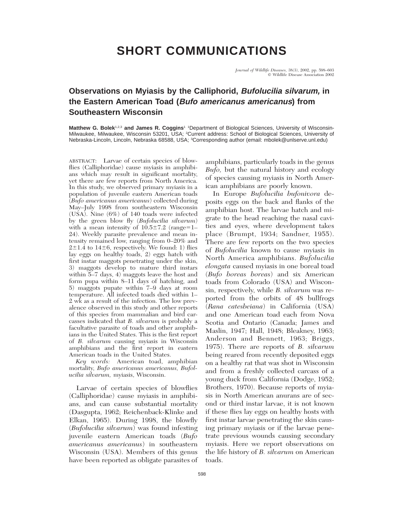## **SHORT COMMUNICATIONS**

*Journal of Wildlife Diseases,* 38(3), 2002, pp. 598–603  $Q$  Wildlife Disease Association 2002

## **Observations on Myiasis by the Calliphorid, Bufolucilia silvarum, in the Eastern American Toad (Bufo americanus americanus) from Southeastern Wisconsin**

**Matthew G. Bolek**<sup>1,2,3</sup> and James R. Coggins<sup>1</sup> 1Department of Biological Sciences, University of Wisconsin-Milwaukee, Milwaukee, Wisconsin 53201, USA; 2Current address: School of Biological Sciences, University of Nebraska-Lincoln, Lincoln, Nebraska 68588, USA; 3Corresponding author (email: mbolek@unlserve.unl.edu)

ABSTRACT: Larvae of certain species of blowflies (Calliphoridae) cause myiasis in amphibians which may result in significant mortality, yet there are few reports from North America. In this study, we observed primary myiasis in a population of juvenile eastern American toads (*Bufo americanus americanus*) collected during May–July 1998 from southeastern Wisconsin (USA). Nine (6%) of 140 toads were infected by the green blow fly (*Bufolucilia silvarum*) with a mean intensity of  $10.5\pm7.2$  (range=1– 24). Weekly parasite prevalence and mean intensity remained low, ranging from 0–20% and  $2\pm1.4$  to  $14\pm6$ , respectively. We found: 1) flies lay eggs on healthy toads, 2) eggs hatch with first instar maggots penetrating under the skin, 3) maggots develop to mature third instars within 5–7 days, 4) maggots leave the host and form pupa within 8–11 days of hatching, and 5) maggots pupate within 7–9 days at room temperature. All infected toads died within 1– 2 wk as a result of the infection. The low prevalence observed in this study and other reports of this species from mammalian and bird carcasses indicated that *B. silvarum* is probably a facultative parasite of toads and other amphibians in the United States. This is the first report of *B. silvarum* causing myiasis in Wisconsin amphibians and the first report in eastern American toads in the United States.

*Key words:* American toad, amphibian mortality, *Bufo americanus americanus, Bufolucilia silvarum,* myiasis, Wisconsin.

Larvae of certain species of blowflies (Calliphoridae) cause myiasis in amphibians, and can cause substantial mortality (Dasgupta, 1962; Reichenback-Klinke and Elkan, 1965). During 1998, the blowfly (*Bufolucilia silvarum*) was found infesting juvenile eastern American toads (*Bufo americanus americanus*) in southeastern Wisconsin (USA). Members of this genus have been reported as obligate parasites of amphibians, particularly toads in the genus *Bufo,* but the natural history and ecology of species causing myiasis in North American amphibians are poorly known.

In Europe *Bufolucilia bufonivora* deposits eggs on the back and flanks of the amphibian host. The larvae hatch and migrate to the head reaching the nasal cavities and eyes, where development takes place (Brumpt, 1934; Sandner, 1955). There are few reports on the two species of *Bufolucilia* known to cause myiasis in North America amphibians. *Bufolucilia elongata* caused myiasis in one boreal toad (*Bufo boreas boreas*) and six American toads from Colorado (USA) and Wisconsin, respectively, while *B. silvarum* was reported from the orbits of 48 bullfrogs (*Rana catesbeiana*) in California (USA) and one American toad each from Nova Scotia and Ontario (Canada; James and Maslin, 1947; Hall, 1948; Bleakney, 1963; Anderson and Bennett, 1963; Briggs, 1975). There are reports of *B. silvarum* being reared from recently deposited eggs on a healthy rat that was shot in Wisconsin and from a freshly collected carcass of a young duck from California (Dodge, 1952; Brothers, 1970). Because reports of myiasis in North American anurans are of second or third instar larvae, it is not known if these flies lay eggs on healthy hosts with first instar larvae penetrating the skin causing primary myiasis or if the larvae penetrate previous wounds causing secondary myiasis. Here we report observations on the life history of *B. silvarum* on American toads.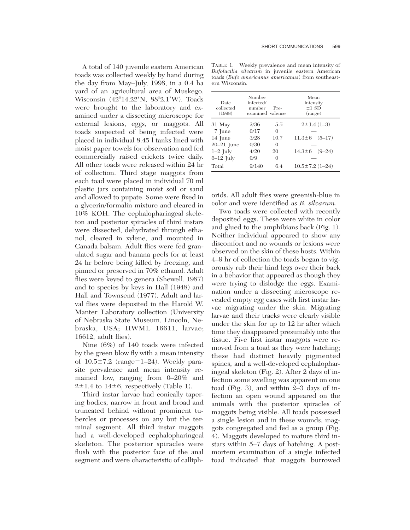A total of 140 juvenile eastern American toads was collected weekly by hand during the day from May–July, 1998, in a 0.4 ha yard of an agricultural area of Muskego, Wisconsin (42°14.22'N, 88°2.1'W). Toads were brought to the laboratory and examined under a dissecting microscope for external lesions, eggs, or maggots. All toads suspected of being infected were placed in individual 8.45 l tanks lined with moist paper towels for observation and fed commercially raised crickets twice daily. All other toads were released within 24 hr of collection. Third stage maggots from each toad were placed in individual 70 ml plastic jars containing moist soil or sand and allowed to pupate. Some were fixed in a glycerin/formalin mixture and cleared in 10% KOH. The cephalopharingeal skeleton and posterior spiracles of third instars were dissected, dehydrated through ethanol, cleared in xylene, and mounted in Canada balsam. Adult flies were fed granulated sugar and banana peels for at least 24 hr before being killed by freezing, and pinned or preserved in 70% ethanol. Adult flies were keyed to genera (Shewell, 1987) and to species by keys in Hall (1948) and Hall and Townsend (1977). Adult and larval flies were deposited in the Harold W. Manter Laboratory collection (University of Nebraska State Museum, Lincoln, Nebraska, USA; HWML 16611, larvae; 16612, adult flies).

Nine (6%) of 140 toads were infected by the green blow fly with a mean intensity of  $10.5\pm7.2$  (range=1–24). Weekly parasite prevalence and mean intensity remained low, ranging from 0–20% and  $2\pm1.4$  to  $14\pm6$ , respectively (Table 1).

Third instar larvae had conically tapering bodies, narrow in front and broad and truncated behind without prominent tubercles or processes on any but the terminal segment. All third instar maggots had a well-developed cephalopharingeal skeleton. The posterior spiracles were flush with the posterior face of the anal segment and were characteristic of calliph-

TABLE 1. Weekly prevalence and mean intensity of *Bufolucilia silvarum* in juvenile eastern American toads (*Bufo americanus americanus*) from southeastern Wisconsin.

| Date<br>collected<br>(1998) | Number<br>infected/<br>number<br>examined valence | Pre-     | Mean<br>intensity<br>$±1$ SD<br>(range) |
|-----------------------------|---------------------------------------------------|----------|-----------------------------------------|
| 31 May                      | 2/36                                              | 5.5      | $2 \pm 1.4(1 - 3)$                      |
| 7 June                      | 0/17                                              | $\Omega$ |                                         |
| 14 June                     | 3/28                                              | 10.7     | $11.3 \pm 6$<br>$(5-17)$                |
| $20-21$ June                | 0/30                                              | $\Omega$ |                                         |
| $1-2$ July                  | 4/20                                              | 20       | $14.3 \pm 6$<br>$(9 - 24)$              |
| $6-12$ July                 | 0/9                                               | $\Omega$ |                                         |
| Total                       | 9/140                                             | 64       | $10.5 \pm 7.2$ (1-24)                   |

orids. All adult flies were greenish-blue in color and were identified as *B. silvarum.*

Two toads were collected with recently deposited eggs. These were white in color and glued to the amphibians back (Fig. 1). Neither individual appeared to show any discomfort and no wounds or lesions were observed on the skin of these hosts. Within 4–9 hr of collection the toads began to vigorously rub their hind legs over their back in a behavior that appeared as though they were trying to dislodge the eggs. Examination under a dissecting microscope revealed empty egg cases with first instar larvae migrating under the skin. Migrating larvae and their tracks were clearly visible under the skin for up to 12 hr after which time they disappeared presumably into the tissue. Five first instar maggots were removed from a toad as they were hatching; these had distinct heavily pigmented spines, and a well-developed cephalopharingeal skeleton (Fig. 2). After 2 days of infection some swelling was apparent on one toad (Fig. 3), and within 2–3 days of infection an open wound appeared on the animals with the posterior spiracles of maggots being visible. All toads possessed a single lesion and in these wounds, maggots congregated and fed as a group (Fig. 4). Maggots developed to mature third instars within 5–7 days of hatching. A postmortem examination of a single infected toad indicated that maggots burrowed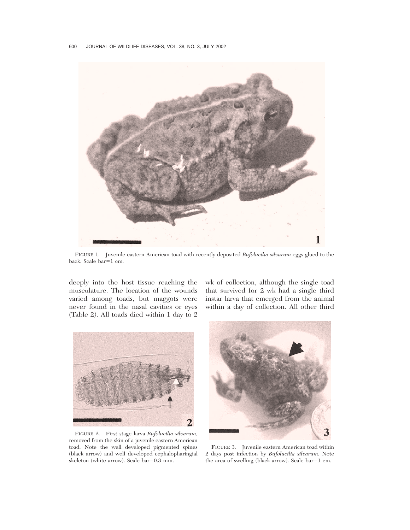

FIGURE 1. Juvenile eastern American toad with recently deposited *Bufolucilia silvarum* eggs glued to the back. Scale bar=1 cm.

deeply into the host tissue reaching the musculature. The location of the wounds varied among toads, but maggots were never found in the nasal cavities or eyes (Table 2). All toads died within 1 day to 2

wk of collection, although the single toad that survived for 2 wk had a single third instar larva that emerged from the animal within a day of collection. All other third



FIGURE 2. First stage larva *Bufolucilia silvarum,* removed from the skin of a juvenile eastern American toad. Note the well developed pigmented spines (black arrow) and well developed cephalopharingial skeleton (white arrow). Scale  $bar=0.3$  mm.



FIGURE 3. Juvenile eastern American toad within 2 days post infection by *Bufolucilia silvarum.* Note the area of swelling (black arrow). Scale bar=1 cm.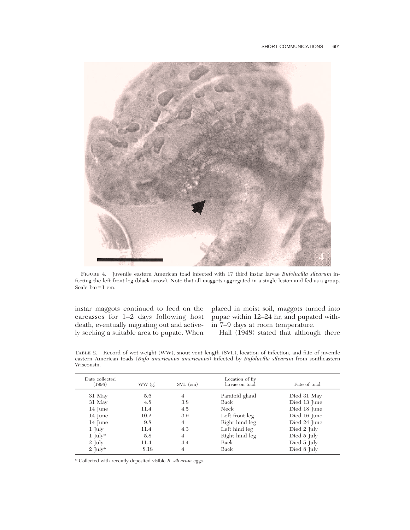

FIGURE 4. Juvenile eastern American toad infected with 17 third instar larvae *Bufolucilia silvarum* infecting the left front leg (black arrow). Note that all maggots aggregated in a single lesion and fed as a group. Scale  $bar=1$  cm.

instar maggots continued to feed on the death, eventually migrating out and active-in 7–9 days at room temperature. ly seeking a suitable area to pupate. When

carcasses for 1–2 days following host pupae within 12–24 hr, and pupated withplaced in moist soil, maggots turned into

Hall (1948) stated that although there

|            |  |  |  |  |  | TABLE 2. Record of wet weight (WW), snout vent length (SVL), location of infection, and fate of juvenile |
|------------|--|--|--|--|--|----------------------------------------------------------------------------------------------------------|
|            |  |  |  |  |  | eastern American toads (Bufo americanus americanus) infected by Bufolucilia silvarum from southeastern   |
| Wisconsin. |  |  |  |  |  |                                                                                                          |
|            |  |  |  |  |  |                                                                                                          |

| Date collected<br>(1998) | WW(g) | $SVL$ (cm)     | Location of fly<br>larvae on toad | Fate of toad |
|--------------------------|-------|----------------|-----------------------------------|--------------|
| 31 May                   | 5.6   | $\overline{4}$ | Paratoid gland                    | Died 31 May  |
| 31 May                   | 4.8   | 3.8            | Back                              | Died 13 June |
| 14 June                  | 11.4  | 4.5            | Neck                              | Died 18 June |
| 14 June                  | 10.2  | 3.9            | Left front leg                    | Died 16 June |
| 14 June                  | 9.8   | 4              | Right hind leg                    | Died 24 June |
| $1 \mathrm{Iuly}$        | 11.4  | 4.3            | Left hind leg                     | Died 2 July  |
| $1 \mathrm{[uly*]}$      | 5.8   | $\overline{4}$ | Right hind leg                    | Died 5 July  |
| $2 \text{ Iuly}$         | 11.4  | 4.4            | Back                              | Died 5 July  |
| $2 \text{ July*}$        | 8.18  | 4              | Back                              | Died 8 July  |

\* Collected with recently deposited visible *B. silvarum* eggs.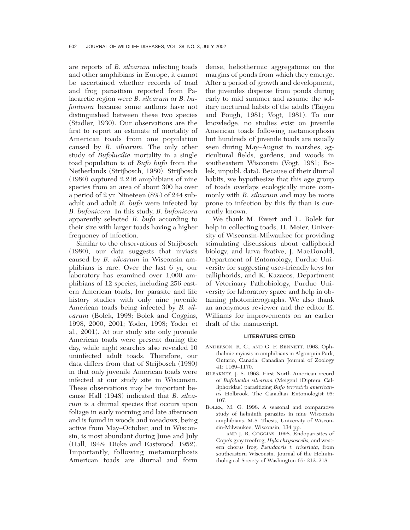are reports of *B. silvarum* infecting toads and other amphibians in Europe, it cannot be ascertained whether records of toad and frog parasitism reported from Palaearctic region were *B. silvarum* or *B. bufonivora* because some authors have not distinguished between these two species (Stadler, 1930). Our observations are the first to report an estimate of mortality of American toads from one population caused by *B. silvarum.* The only other study of *Bufolucilia* mortality in a single toad population is of *Bufo bufo* from the Netherlands (Strijbosch, 1980). Strijbosch (1980) captured 2,216 amphibians of nine species from an area of about 300 ha over a period of 2 yr. Nineteen (8%) of 244 subadult and adult *B. bufo* were infected by *B. bufonivora.* In this study, *B. bufonivora* apparently selected *B. bufo* according to their size with larger toads having a higher frequency of infection.

Similar to the observations of Strijbosch (1980), our data suggests that myiasis caused by *B. silvarum* in Wisconsin amphibians is rare. Over the last 6 yr, our laboratory has examined over 1,000 amphibians of 12 species, including 256 eastern American toads, for parasite and life history studies with only nine juvenile American toads being infected by *B. silvarum* (Bolek, 1998; Bolek and Coggins, 1998, 2000, 2001; Yoder, 1998; Yoder et al., 2001). At our study site only juvenile American toads were present during the day, while night searches also revealed 10 uninfected adult toads. Therefore, our data differs from that of Strijbosch (1980) in that only juvenile American toads were infected at our study site in Wisconsin. These observations may be important because Hall (1948) indicated that *B. silvarum* is a diurnal species that occurs upon foliage in early morning and late afternoon and is found in woods and meadows, being active from May–October, and in Wisconsin, is most abundant during June and July (Hall, 1948; Dicke and Eastwood, 1952). Importantly, following metamorphosis American toads are diurnal and form dense, heliothermic aggregations on the margins of ponds from which they emerge. After a period of growth and development, the juveniles disperse from ponds during early to mid summer and assume the solitary nocturnal habits of the adults (Taigen and Pough, 1981; Vogt, 1981). To our knowledge, no studies exist on juvenile American toads following metamorphosis but hundreds of juvenile toads are usually seen during May–August in marshes, agricultural fields, gardens, and woods in southeastern Wisconsin (Vogt, 1981; Bolek, unpubl. data). Because of their diurnal habits, we hypothesize that this age group of toads overlaps ecologically more commonly with *B. silvarum* and may be more prone to infection by this fly than is currently known.

We thank M. Ewert and L. Bolek for help in collecting toads, H. Meier, University of Wisconsin-Milwaukee for providing stimulating discussions about calliphorid biology, and larva fixative, J. MacDonald, Department of Entomology, Purdue University for suggesting user-friendly keys for calliphorids, and K. Kazacos, Department of Veterinary Pathobiology, Purdue University for laboratory space and help in obtaining photomicrographs. We also thank an anonymous reviewer and the editor E. Williams for improvements on an earlier draft of the manuscript.

## **LITERATURE CITED**

- ANDERSON, R. C., AND G. F. BENNETT. 1963. Ophthalmic myiasis in amphibians in Algonquin Park, Ontario, Canada. Canadian Journal of Zoology 41: 1169–1170.
- BLEAKNEY, J. S. 1963. First North American record of *Bufolucilia silvarum* (Meigen) (Diptera: Calliphoridae) parasitizing *Bufo terrestris americanus* Holbrook. The Canadian Entomologist 95: 107.
- BOLEK, M. G. 1998. A seasonal and comparative study of helminth parasites in nine Wisconsin amphibians. M.S. Thesis, University of Wisconsin-Milwaukee, Wisconsin, 134 pp.
- , AND J. R. COGGINS. 1998. Endoparasites of Cope's gray treefrog, *Hyla chrysoscelis,* and western chorus frog, *Pseudacris t. triseriata,* from southeastern Wisconsin. Journal of the Helminthological Society of Washington 65: 212–218.